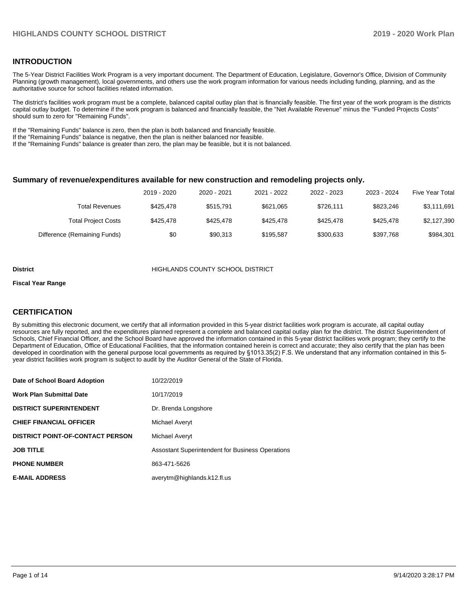### **INTRODUCTION**

The 5-Year District Facilities Work Program is a very important document. The Department of Education, Legislature, Governor's Office, Division of Community Planning (growth management), local governments, and others use the work program information for various needs including funding, planning, and as the authoritative source for school facilities related information.

The district's facilities work program must be a complete, balanced capital outlay plan that is financially feasible. The first year of the work program is the districts capital outlay budget. To determine if the work program is balanced and financially feasible, the "Net Available Revenue" minus the "Funded Projects Costs" should sum to zero for "Remaining Funds".

If the "Remaining Funds" balance is zero, then the plan is both balanced and financially feasible.

If the "Remaining Funds" balance is negative, then the plan is neither balanced nor feasible.

If the "Remaining Funds" balance is greater than zero, the plan may be feasible, but it is not balanced.

#### **Summary of revenue/expenditures available for new construction and remodeling projects only.**

|                              | 2019 - 2020 | 2020 - 2021 | 2021 - 2022 | 2022 - 2023 | 2023 - 2024 | <b>Five Year Total</b> |
|------------------------------|-------------|-------------|-------------|-------------|-------------|------------------------|
| Total Revenues               | \$425.478   | \$515.791   | \$621.065   | \$726.111   | \$823.246   | \$3,111,691            |
| <b>Total Project Costs</b>   | \$425.478   | \$425.478   | \$425.478   | \$425.478   | \$425.478   | \$2,127,390            |
| Difference (Remaining Funds) | \$0         | \$90.313    | \$195.587   | \$300.633   | \$397.768   | \$984.301              |

#### **District COUNTY SCHOOL DISTRICT**

#### **Fiscal Year Range**

## **CERTIFICATION**

By submitting this electronic document, we certify that all information provided in this 5-year district facilities work program is accurate, all capital outlay resources are fully reported, and the expenditures planned represent a complete and balanced capital outlay plan for the district. The district Superintendent of Schools, Chief Financial Officer, and the School Board have approved the information contained in this 5-year district facilities work program; they certify to the Department of Education, Office of Educational Facilities, that the information contained herein is correct and accurate; they also certify that the plan has been developed in coordination with the general purpose local governments as required by §1013.35(2) F.S. We understand that any information contained in this 5 year district facilities work program is subject to audit by the Auditor General of the State of Florida.

| Date of School Board Adoption           | 10/22/2019                                              |
|-----------------------------------------|---------------------------------------------------------|
| <b>Work Plan Submittal Date</b>         | 10/17/2019                                              |
| <b>DISTRICT SUPERINTENDENT</b>          | Dr. Brenda Longshore                                    |
| <b>CHIEF FINANCIAL OFFICER</b>          | Michael Averyt                                          |
| <b>DISTRICT POINT-OF-CONTACT PERSON</b> | Michael Averyt                                          |
| <b>JOB TITLE</b>                        | <b>Assostant Superintendent for Business Operations</b> |
| <b>PHONE NUMBER</b>                     | 863-471-5626                                            |
| <b>E-MAIL ADDRESS</b>                   | averytm@highlands.k12.fl.us                             |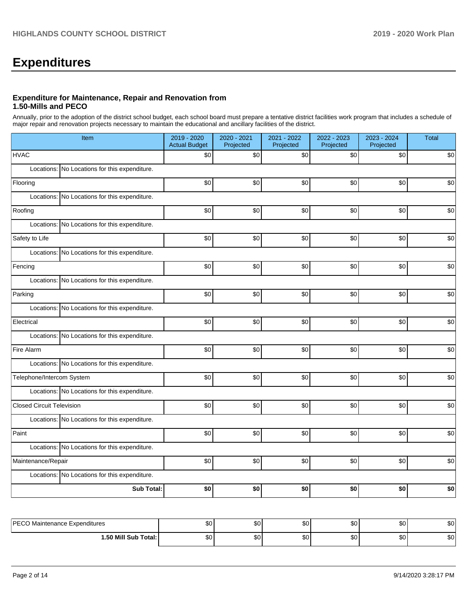# **Expenditures**

### **Expenditure for Maintenance, Repair and Renovation from 1.50-Mills and PECO**

Annually, prior to the adoption of the district school budget, each school board must prepare a tentative district facilities work program that includes a schedule of major repair and renovation projects necessary to maintain the educational and ancillary facilities of the district.

| Item                                          | 2019 - 2020<br><b>Actual Budget</b> | 2020 - 2021<br>Projected | 2021 - 2022<br>Projected | 2022 - 2023<br>Projected | 2023 - 2024<br>Projected | <b>Total</b> |
|-----------------------------------------------|-------------------------------------|--------------------------|--------------------------|--------------------------|--------------------------|--------------|
| <b>HVAC</b>                                   | \$0                                 | \$0                      | \$0                      | \$0                      | \$0                      | \$0          |
| Locations: No Locations for this expenditure. |                                     |                          |                          |                          |                          |              |
| Flooring                                      | \$0                                 | \$0                      | \$0                      | \$0                      | \$0                      | \$0          |
| Locations: No Locations for this expenditure. |                                     |                          |                          |                          |                          |              |
| Roofing                                       | \$0                                 | \$0                      | \$0                      | \$0                      | \$0                      | \$0          |
| Locations: No Locations for this expenditure. |                                     |                          |                          |                          |                          |              |
| Safety to Life                                | \$0                                 | \$0                      | \$0                      | \$0                      | \$0                      | \$0          |
| Locations: No Locations for this expenditure. |                                     |                          |                          |                          |                          |              |
| Fencing                                       | \$0                                 | \$0                      | \$0                      | \$0                      | \$0                      | \$0          |
| Locations: No Locations for this expenditure. |                                     |                          |                          |                          |                          |              |
| Parking                                       | \$0                                 | \$0                      | \$0                      | \$0                      | \$0                      | \$0          |
| Locations: No Locations for this expenditure. |                                     |                          |                          |                          |                          |              |
| Electrical                                    | \$0                                 | \$0                      | \$0                      | \$0                      | \$0                      | \$0          |
| Locations: No Locations for this expenditure. |                                     |                          |                          |                          |                          |              |
| Fire Alarm                                    | \$0                                 | \$0                      | \$0                      | \$0                      | \$0                      | \$0          |
| Locations: No Locations for this expenditure. |                                     |                          |                          |                          |                          |              |
| Telephone/Intercom System                     | \$0                                 | \$0                      | \$0                      | \$0                      | \$0                      | \$0          |
| Locations: No Locations for this expenditure. |                                     |                          |                          |                          |                          |              |
| <b>Closed Circuit Television</b>              | \$0                                 | \$0                      | \$0                      | \$0                      | \$0                      | \$0          |
| Locations: No Locations for this expenditure. |                                     |                          |                          |                          |                          |              |
| Paint                                         | \$0                                 | \$0                      | \$0                      | \$0                      | \$0                      | \$0          |
| Locations: No Locations for this expenditure. |                                     |                          |                          |                          |                          |              |
| Maintenance/Repair                            | \$0                                 | \$0                      | \$0                      | \$0                      | \$0                      | \$0          |
| Locations: No Locations for this expenditure. |                                     |                          |                          |                          |                          |              |
| Sub Total:                                    | \$0                                 | \$0                      | \$0                      | \$0                      | \$0                      | \$0          |
|                                               |                                     |                          |                          |                          |                          |              |
| PECO Maintenance Expenditures                 | \$0                                 | \$0 <sub>1</sub>         | \$0                      | \$0                      | \$0                      | \$0          |

| <b>IDECO Mair</b>            | $\sim$       | $\sim$       | ሖ        | ሖ         | ^^     | $\sim$       |
|------------------------------|--------------|--------------|----------|-----------|--------|--------------|
| › Maintenance Expenditures i | υU           | ມບ           | w        | - DU      |        | ΦU           |
| .50 Mill S<br>Total:<br>Sub  | $\sim$<br>υU | $\sim$<br>ມບ | n c<br>w | ሖ<br>- DU | ^^<br> | $\sim$<br>ΦU |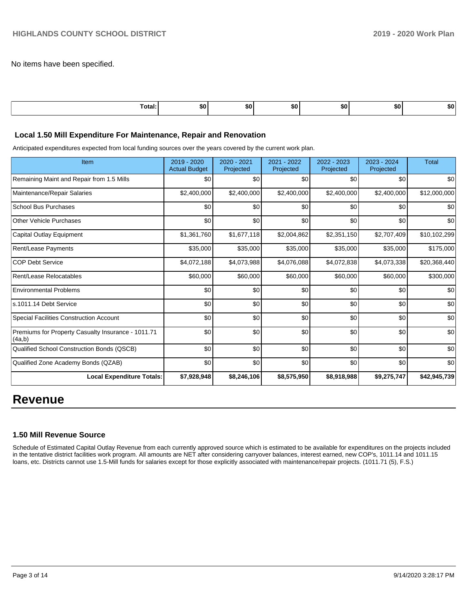No items have been specified.

| Total: | \$0 | SO I | . .<br>. | <b>SO</b> | <u>та</u><br>ъU | 50. |
|--------|-----|------|----------|-----------|-----------------|-----|
|        |     |      |          |           |                 |     |

#### **Local 1.50 Mill Expenditure For Maintenance, Repair and Renovation**

Anticipated expenditures expected from local funding sources over the years covered by the current work plan.

| Item                                                         | 2019 - 2020<br><b>Actual Budget</b> | 2020 - 2021<br>Projected | 2021 - 2022<br>Projected | 2022 - 2023<br>Projected | 2023 - 2024<br>Projected | <b>Total</b> |
|--------------------------------------------------------------|-------------------------------------|--------------------------|--------------------------|--------------------------|--------------------------|--------------|
| Remaining Maint and Repair from 1.5 Mills                    | \$0                                 | \$0                      | \$0                      | \$0                      | \$0                      | \$0          |
| Maintenance/Repair Salaries                                  | \$2,400,000                         | \$2,400,000              | \$2,400,000              | \$2,400,000              | \$2,400,000              | \$12,000,000 |
| <b>School Bus Purchases</b>                                  | \$0                                 | \$0                      | \$0                      | \$0                      | \$0                      | \$0          |
| <b>Other Vehicle Purchases</b>                               | \$0                                 | \$0                      | \$0                      | \$0                      | \$0                      | \$0          |
| Capital Outlay Equipment                                     | \$1,361,760                         | \$1,677,118              | \$2,004,862              | \$2,351,150              | \$2,707,409              | \$10,102,299 |
| Rent/Lease Payments                                          | \$35,000                            | \$35,000                 | \$35,000                 | \$35,000                 | \$35,000                 | \$175,000    |
| <b>COP Debt Service</b>                                      | \$4,072,188                         | \$4,073,988              | \$4,076,088              | \$4,072,838              | \$4,073,338              | \$20,368,440 |
| Rent/Lease Relocatables                                      | \$60,000                            | \$60,000                 | \$60,000                 | \$60,000                 | \$60,000                 | \$300,000    |
| <b>Environmental Problems</b>                                | \$0                                 | \$0                      | \$0                      | \$0                      | \$0                      | \$0          |
| s.1011.14 Debt Service                                       | \$0                                 | \$0                      | \$0                      | \$0                      | \$0                      | \$0          |
| <b>Special Facilities Construction Account</b>               | \$0                                 | \$0                      | \$0                      | \$0                      | \$0                      | \$0          |
| Premiums for Property Casualty Insurance - 1011.71<br>(4a,b) | \$0                                 | \$0                      | \$0                      | \$0                      | \$0                      | \$0          |
| Qualified School Construction Bonds (QSCB)                   | \$0                                 | \$0                      | \$0                      | \$0                      | \$0                      | \$0          |
| Qualified Zone Academy Bonds (QZAB)                          | \$0                                 | \$0                      | \$0                      | \$0                      | \$0                      | \$0          |
| <b>Local Expenditure Totals:</b>                             | \$7,928,948                         | \$8,246,106              | \$8,575,950              | \$8,918,988              | \$9,275,747              | \$42,945,739 |

# **Revenue**

### **1.50 Mill Revenue Source**

Schedule of Estimated Capital Outlay Revenue from each currently approved source which is estimated to be available for expenditures on the projects included in the tentative district facilities work program. All amounts are NET after considering carryover balances, interest earned, new COP's, 1011.14 and 1011.15 loans, etc. Districts cannot use 1.5-Mill funds for salaries except for those explicitly associated with maintenance/repair projects. (1011.71 (5), F.S.)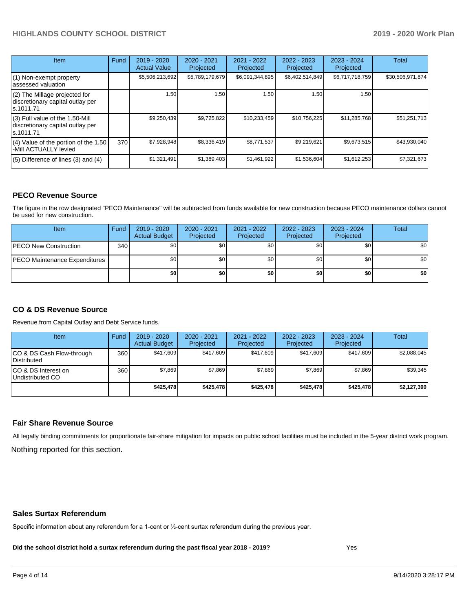| Item                                                                                | Fund | $2019 - 2020$<br><b>Actual Value</b> | $2020 - 2021$<br>Projected | 2021 - 2022<br>Projected | $2022 - 2023$<br>Projected | $2023 - 2024$<br>Projected | Total            |
|-------------------------------------------------------------------------------------|------|--------------------------------------|----------------------------|--------------------------|----------------------------|----------------------------|------------------|
| $(1)$ Non-exempt property<br>lassessed valuation                                    |      | \$5,506,213,692                      | \$5,789,179,679            | \$6,091,344,895          | \$6,402,514,849            | \$6,717,718,759            | \$30,506,971,874 |
| $(2)$ The Millage projected for<br>discretionary capital outlay per<br>ls.1011.71   |      | 1.50                                 | 1.50                       | 1.50                     | 1.50                       | 1.50                       |                  |
| $(3)$ Full value of the 1.50-Mill<br>discretionary capital outlay per<br>ls.1011.71 |      | \$9,250,439                          | \$9,725,822                | \$10,233,459             | \$10,756,225               | \$11,285,768               | \$51,251,713     |
| $(4)$ Value of the portion of the 1.50<br>-Mill ACTUALLY levied                     | 370I | \$7,928,948                          | \$8,336,419                | \$8,771,537              | \$9,219,621                | \$9,673,515                | \$43,930,040     |
| $(5)$ Difference of lines $(3)$ and $(4)$                                           |      | \$1,321,491                          | \$1,389,403                | \$1,461,922              | \$1,536,604                | \$1,612,253                | \$7,321,673      |

### **PECO Revenue Source**

The figure in the row designated "PECO Maintenance" will be subtracted from funds available for new construction because PECO maintenance dollars cannot be used for new construction.

| Item                                 | Fund | 2019 - 2020<br><b>Actual Budget</b> | 2020 - 2021<br>Projected | 2021 - 2022<br>Projected | $2022 - 2023$<br>Projected | 2023 - 2024<br>Projected | Total            |
|--------------------------------------|------|-------------------------------------|--------------------------|--------------------------|----------------------------|--------------------------|------------------|
| <b>PECO New Construction</b>         | 340  | \$0                                 | \$0 <sub>1</sub>         | \$0                      | \$0 <sub>0</sub>           | \$0 <sub>1</sub>         | \$0 <sub>1</sub> |
| <b>PECO Maintenance Expenditures</b> |      | ا 30                                | \$٥Ι                     | \$0                      | \$0 <sub>1</sub>           | \$0                      | \$0              |
|                                      |      | \$0                                 | \$0                      | \$0                      | \$0                        | \$0                      | \$0              |

## **CO & DS Revenue Source**

Revenue from Capital Outlay and Debt Service funds.

| Item                                      | Fund | 2019 - 2020<br><b>Actual Budget</b> | 2020 - 2021<br>Projected | 2021 - 2022<br>Projected | 2022 - 2023<br>Projected | $2023 - 2024$<br>Projected | Total       |
|-------------------------------------------|------|-------------------------------------|--------------------------|--------------------------|--------------------------|----------------------------|-------------|
| ICO & DS Cash Flow-through<br>Distributed | 360  | \$417.609                           | \$417.609                | \$417.609                | \$417.609                | \$417.609                  | \$2,088,045 |
| ICO & DS Interest on<br>Undistributed CO  | 360  | \$7.869                             | \$7,869                  | \$7.869                  | \$7.869                  | \$7,869                    | \$39,345    |
|                                           |      | \$425.478                           | \$425.478                | \$425.478                | \$425.478                | \$425.478                  | \$2,127,390 |

### **Fair Share Revenue Source**

Nothing reported for this section. All legally binding commitments for proportionate fair-share mitigation for impacts on public school facilities must be included in the 5-year district work program.

#### **Sales Surtax Referendum**

Specific information about any referendum for a 1-cent or ½-cent surtax referendum during the previous year.

**Did the school district hold a surtax referendum during the past fiscal year 2018 - 2019?**

Yes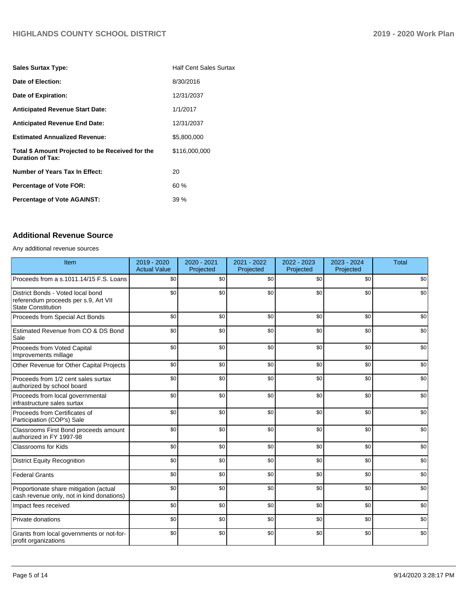| <b>Sales Surtax Type:</b>                                                   | <b>Half Cent Sales Surtax</b> |
|-----------------------------------------------------------------------------|-------------------------------|
| Date of Election:                                                           | 8/30/2016                     |
| Date of Expiration:                                                         | 12/31/2037                    |
| <b>Anticipated Revenue Start Date:</b>                                      | 1/1/2017                      |
| <b>Anticipated Revenue End Date:</b>                                        | 12/31/2037                    |
| <b>Estimated Annualized Revenue:</b>                                        | \$5,800,000                   |
| Total \$ Amount Projected to be Received for the<br><b>Duration of Tax:</b> | \$116,000,000                 |
| Number of Years Tax In Effect:                                              | 20                            |
| <b>Percentage of Vote FOR:</b>                                              | 60%                           |
| <b>Percentage of Vote AGAINST:</b>                                          | 39%                           |

## **Additional Revenue Source**

Any additional revenue sources

| Item                                                                                                   | 2019 - 2020<br><b>Actual Value</b> | 2020 - 2021<br>Projected | 2021 - 2022<br>Projected | 2022 - 2023<br>Projected | 2023 - 2024<br>Projected | <b>Total</b> |
|--------------------------------------------------------------------------------------------------------|------------------------------------|--------------------------|--------------------------|--------------------------|--------------------------|--------------|
| Proceeds from a s.1011.14/15 F.S. Loans                                                                | \$0                                | \$0                      | \$0                      | \$0                      | \$0                      | \$0          |
| District Bonds - Voted local bond<br>referendum proceeds per s.9, Art VII<br><b>State Constitution</b> | \$0                                | \$0                      | \$0                      | \$0                      | \$0                      | \$0          |
| Proceeds from Special Act Bonds                                                                        | \$0                                | \$0                      | \$0                      | \$0                      | \$0                      | \$0          |
| Estimated Revenue from CO & DS Bond<br>Sale                                                            | \$0                                | \$0                      | \$0                      | \$0                      | \$0                      | \$0          |
| Proceeds from Voted Capital<br>Improvements millage                                                    | \$0                                | \$0                      | \$0                      | \$0                      | \$0                      | \$0          |
| Other Revenue for Other Capital Projects                                                               | \$0                                | \$0                      | \$0                      | \$0                      | \$0                      | \$0          |
| Proceeds from 1/2 cent sales surtax<br>authorized by school board                                      | \$0                                | \$0                      | \$0                      | \$0                      | \$0                      | \$0          |
| Proceeds from local governmental<br>infrastructure sales surtax                                        | \$0                                | \$0                      | \$0                      | \$0                      | \$0                      | \$0          |
| Proceeds from Certificates of<br>Participation (COP's) Sale                                            | \$0                                | \$0                      | \$0                      | \$0                      | \$0                      | \$0          |
| Classrooms First Bond proceeds amount<br>authorized in FY 1997-98                                      | \$0                                | \$0                      | \$0                      | \$0                      | \$0                      | \$0          |
| Classrooms for Kids                                                                                    | \$0                                | \$0                      | \$0                      | \$0                      | \$0                      | \$0          |
| <b>District Equity Recognition</b>                                                                     | \$0                                | \$0                      | \$0                      | \$0                      | \$0                      | \$0          |
| <b>Federal Grants</b>                                                                                  | \$0                                | \$0                      | \$0                      | \$0                      | \$0                      | \$0          |
| Proportionate share mitigation (actual<br>cash revenue only, not in kind donations)                    | \$0                                | \$0                      | \$0                      | \$0                      | \$0                      | \$0          |
| Impact fees received                                                                                   | \$0                                | \$0                      | \$0                      | \$0                      | \$0                      | \$0          |
| Private donations                                                                                      | \$0                                | \$0                      | \$0                      | \$0                      | \$0                      | \$0          |
| Grants from local governments or not-for-<br>profit organizations                                      | \$0                                | \$0                      | \$0                      | \$0                      | \$0                      | \$0          |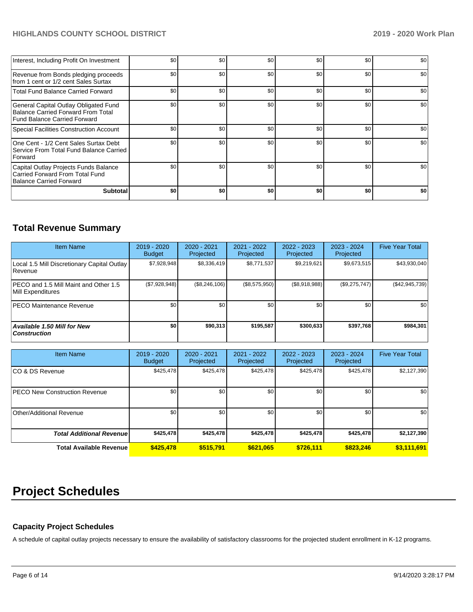| Interest, Including Profit On Investment                                                                    | \$0 | \$0 | \$0 | \$0 | \$0              | \$0 |
|-------------------------------------------------------------------------------------------------------------|-----|-----|-----|-----|------------------|-----|
| Revenue from Bonds pledging proceeds<br>from 1 cent or 1/2 cent Sales Surtax                                | \$0 | \$0 | \$0 | \$0 | \$0 <sub>1</sub> | \$0 |
| <b>Total Fund Balance Carried Forward</b>                                                                   | \$0 | \$0 | \$0 | \$0 | \$0              | \$0 |
| General Capital Outlay Obligated Fund<br>Balance Carried Forward From Total<br>Fund Balance Carried Forward | \$0 | \$0 | \$0 | \$0 | \$0 <sub>1</sub> | \$0 |
| Special Facilities Construction Account                                                                     | \$0 | \$0 | \$0 | \$0 | \$0              | \$0 |
| One Cent - 1/2 Cent Sales Surtax Debt<br>Service From Total Fund Balance Carried<br>Forward                 | \$0 | \$0 | \$0 | \$0 | \$0              | \$0 |
| Capital Outlay Projects Funds Balance<br>Carried Forward From Total Fund<br>Balance Carried Forward         | \$0 | \$0 | \$0 | \$0 | \$0              | \$0 |
| <b>Subtotal</b>                                                                                             | \$0 | \$0 | \$0 | \$0 | \$0              | \$0 |

# **Total Revenue Summary**

| <b>Item Name</b>                                              | $2019 - 2020$<br><b>Budget</b> | $2020 - 2021$<br>Projected | 2021 - 2022<br>Projected | 2022 - 2023<br>Projected | $2023 - 2024$<br>Projected | <b>Five Year Total</b> |
|---------------------------------------------------------------|--------------------------------|----------------------------|--------------------------|--------------------------|----------------------------|------------------------|
| Local 1.5 Mill Discretionary Capital Outlay<br><b>Revenue</b> | \$7.928.948                    | \$8,336,419                | \$8,771,537              | \$9.219.621              | \$9,673,515                | \$43,930,040           |
| PECO and 1.5 Mill Maint and Other 1.5<br>Mill Expenditures    | (\$7,928,948)                  | (\$8,246,106)              | (\$8,575,950)            | (\$8,918,988)            | $(\$9,275,747)$            | (S42, 945, 739)        |
| <b>PECO Maintenance Revenue</b>                               | \$0 <sub>1</sub>               | \$0 <sub>1</sub>           | \$0                      | \$0                      | \$0                        | \$0                    |
| Available 1.50 Mill for New<br><b>Construction</b>            | \$0                            | \$90,313                   | \$195,587                | \$300,633                | \$397,768                  | \$984,301              |

| <b>Item Name</b>                     | 2019 - 2020<br><b>Budget</b> | 2020 - 2021<br>Projected | 2021 - 2022<br>Projected | 2022 - 2023<br>Projected | 2023 - 2024<br>Projected | <b>Five Year Total</b> |
|--------------------------------------|------------------------------|--------------------------|--------------------------|--------------------------|--------------------------|------------------------|
| ICO & DS Revenue                     | \$425,478                    | \$425,478                | \$425,478                | \$425,478                | \$425,478                | \$2,127,390            |
| <b>PECO New Construction Revenue</b> | \$0 <sub>1</sub>             | \$0 <sub>1</sub>         | \$0                      | \$0                      | \$0                      | \$0                    |
| Other/Additional Revenue             | \$0                          | \$0 <sub>1</sub>         | \$0                      | \$0                      | \$0                      | \$0                    |
| <b>Total Additional Revenuel</b>     | \$425,478                    | \$425,478                | \$425,478                | \$425,478                | \$425,478                | \$2,127,390            |
| <b>Total Available Revenue</b>       | \$425,478                    | \$515,791                | \$621,065                | \$726.111                | \$823.246                | \$3,111,691            |

# **Project Schedules**

## **Capacity Project Schedules**

A schedule of capital outlay projects necessary to ensure the availability of satisfactory classrooms for the projected student enrollment in K-12 programs.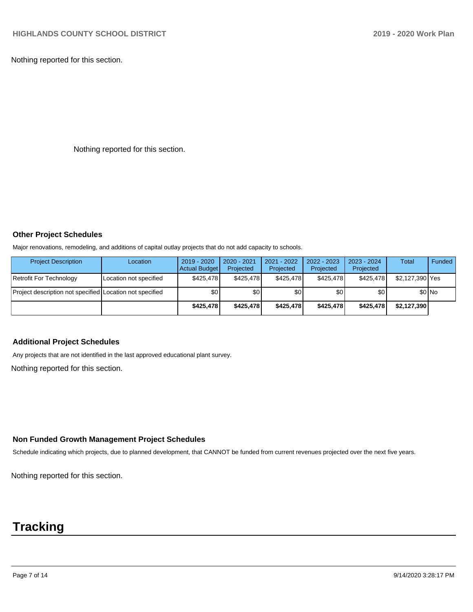Nothing reported for this section.

Nothing reported for this section.

## **Other Project Schedules**

Major renovations, remodeling, and additions of capital outlay projects that do not add capacity to schools.

| <b>Project Description</b>                               | Location               | 2019 - 2020<br><b>Actual Budget</b> | 2020 - 2021<br>Projected | 2021 - 2022<br>Projected | 2022 - 2023<br>Projected | 2023 - 2024<br>Projected | <b>Total</b>    | Funded  |
|----------------------------------------------------------|------------------------|-------------------------------------|--------------------------|--------------------------|--------------------------|--------------------------|-----------------|---------|
| Retrofit For Technology                                  | Location not specified | \$425.478                           | \$425.478                | \$425.478                | \$425.478                | \$425.478                | \$2,127,390 Yes |         |
| Project description not specified Location not specified |                        | \$0                                 | \$0 <sub>1</sub>         | \$0                      | \$0 I                    | \$0                      |                 | $$0$ No |
|                                                          |                        | \$425.478                           | \$425.478                | \$425.478                | \$425,478                | \$425.478                | \$2,127,390     |         |

## **Additional Project Schedules**

Any projects that are not identified in the last approved educational plant survey.

Nothing reported for this section.

## **Non Funded Growth Management Project Schedules**

Schedule indicating which projects, due to planned development, that CANNOT be funded from current revenues projected over the next five years.

Nothing reported for this section.

# **Tracking**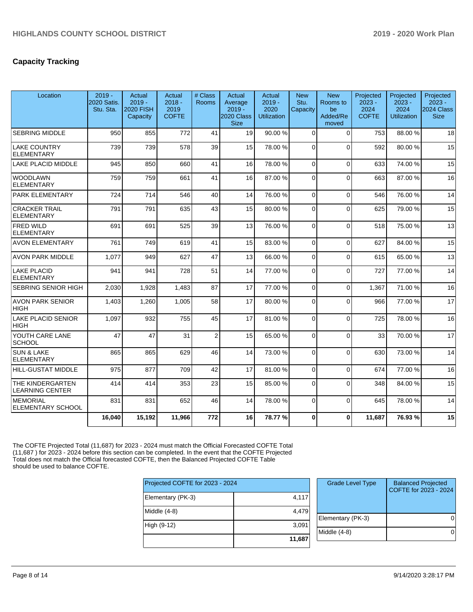# **Capacity Tracking**

| Location                                    | $2019 -$<br>2020 Satis.<br>Stu. Sta. | Actual<br>$2019 -$<br><b>2020 FISH</b><br>Capacity | Actual<br>$2018 -$<br>2019<br><b>COFTE</b> | # Class<br><b>Rooms</b> | Actual<br>Average<br>$2019 -$<br>2020 Class<br><b>Size</b> | Actual<br>$2019 -$<br>2020<br><b>Utilization</b> | <b>New</b><br>Stu.<br>Capacity | <b>New</b><br>Rooms to<br>be<br>Added/Re<br>moved | Projected<br>$2023 -$<br>2024<br><b>COFTE</b> | Projected<br>$2023 -$<br>2024<br><b>Utilization</b> | Projected<br>$2023 -$<br>2024 Class<br><b>Size</b> |
|---------------------------------------------|--------------------------------------|----------------------------------------------------|--------------------------------------------|-------------------------|------------------------------------------------------------|--------------------------------------------------|--------------------------------|---------------------------------------------------|-----------------------------------------------|-----------------------------------------------------|----------------------------------------------------|
| <b>SEBRING MIDDLE</b>                       | 950                                  | 855                                                | 772                                        | 41                      | 19                                                         | 90.00%                                           | $\Omega$                       | $\Omega$                                          | 753                                           | 88.00%                                              | 18                                                 |
| LAKE COUNTRY<br><b>ELEMENTARY</b>           | 739                                  | 739                                                | 578                                        | 39                      | 15                                                         | 78.00 %                                          | $\Omega$                       | $\Omega$                                          | 592                                           | 80.00 %                                             | 15                                                 |
| LAKE PLACID MIDDLE                          | 945                                  | 850                                                | 660                                        | 41                      | 16                                                         | 78.00 %                                          | $\Omega$                       | $\Omega$                                          | 633                                           | 74.00%                                              | 15                                                 |
| <b>WOODLAWN</b><br><b>ELEMENTARY</b>        | 759                                  | 759                                                | 661                                        | 41                      | 16                                                         | 87.00%                                           | $\Omega$                       | $\Omega$                                          | 663                                           | 87.00 %                                             | 16                                                 |
| PARK ELEMENTARY                             | 724                                  | 714                                                | 546                                        | 40                      | 14                                                         | 76.00 %                                          | $\Omega$                       | $\Omega$                                          | 546                                           | 76.00 %                                             | 14                                                 |
| <b>CRACKER TRAIL</b><br><b>ELEMENTARY</b>   | 791                                  | 791                                                | 635                                        | 43                      | 15                                                         | 80.00 %                                          | $\Omega$                       | $\Omega$                                          | 625                                           | 79.00 %                                             | 15                                                 |
| <b>FRED WILD</b><br><b>ELEMENTARY</b>       | 691                                  | 691                                                | 525                                        | 39                      | 13                                                         | 76.00 %                                          | $\Omega$                       | $\Omega$                                          | 518                                           | 75.00 %                                             | 13                                                 |
| <b>AVON ELEMENTARY</b>                      | 761                                  | 749                                                | 619                                        | 41                      | 15                                                         | 83.00 %                                          | $\Omega$                       | $\Omega$                                          | 627                                           | 84.00 %                                             | 15                                                 |
| <b>AVON PARK MIDDLE</b>                     | 1,077                                | 949                                                | 627                                        | 47                      | 13                                                         | 66.00 %                                          | $\Omega$                       | $\Omega$                                          | 615                                           | 65.00 %                                             | 13                                                 |
| LAKE PLACID<br><b>ELEMENTARY</b>            | 941                                  | 941                                                | 728                                        | 51                      | 14                                                         | 77.00 %                                          | $\Omega$                       | $\Omega$                                          | 727                                           | 77.00 %                                             | 14                                                 |
| <b>SEBRING SENIOR HIGH</b>                  | 2,030                                | 1,928                                              | 1,483                                      | 87                      | 17                                                         | 77.00 %                                          | $\Omega$                       | $\Omega$                                          | 1.367                                         | 71.00 %                                             | 16                                                 |
| <b>AVON PARK SENIOR</b><br><b>HIGH</b>      | 1,403                                | 1,260                                              | 1,005                                      | 58                      | 17                                                         | 80.00%                                           | $\Omega$                       | $\Omega$                                          | 966                                           | 77.00 %                                             | 17                                                 |
| <b>LAKE PLACID SENIOR</b><br> HIGH          | 1,097                                | 932                                                | 755                                        | 45                      | 17                                                         | 81.00%                                           | $\Omega$                       | $\Omega$                                          | 725                                           | 78.00 %                                             | 16                                                 |
| YOUTH CARE LANE<br>SCHOOL                   | 47                                   | 47                                                 | 31                                         | $\overline{2}$          | 15                                                         | 65.00 %                                          | $\Omega$                       | $\Omega$                                          | 33                                            | 70.00%                                              | 17                                                 |
| <b>SUN &amp; LAKE</b><br><b>ELEMENTARY</b>  | 865                                  | 865                                                | 629                                        | 46                      | 14                                                         | 73.00 %                                          | $\Omega$                       | $\Omega$                                          | 630                                           | 73.00 %                                             | 14                                                 |
| <b>HILL-GUSTAT MIDDLE</b>                   | 975                                  | 877                                                | 709                                        | 42                      | 17                                                         | 81.00%                                           | $\Omega$                       | $\Omega$                                          | 674                                           | 77.00 %                                             | 16                                                 |
| THE KINDERGARTEN<br><b>LEARNING CENTER</b>  | 414                                  | 414                                                | 353                                        | 23                      | 15                                                         | 85.00 %                                          | $\Omega$                       | $\Omega$                                          | 348                                           | 84.00%                                              | 15                                                 |
| <b>MEMORIAL</b><br><b>ELEMENTARY SCHOOL</b> | 831                                  | 831                                                | 652                                        | 46                      | 14                                                         | 78.00 %                                          | $\Omega$                       | $\Omega$                                          | 645                                           | 78.00 %                                             | 14                                                 |
|                                             | 16,040                               | 15,192                                             | 11,966                                     | 772                     | 16                                                         | 78.77 %                                          | $\bf{0}$                       | $\mathbf{0}$                                      | 11,687                                        | 76.93%                                              | 15                                                 |

The COFTE Projected Total (11,687) for 2023 - 2024 must match the Official Forecasted COFTE Total (11,687 ) for 2023 - 2024 before this section can be completed. In the event that the COFTE Projected Total does not match the Official forecasted COFTE, then the Balanced Projected COFTE Table should be used to balance COFTE.

| Projected COFTE for 2023 - 2024 |        |
|---------------------------------|--------|
| Elementary (PK-3)               | 4,117  |
| Middle $(4-8)$                  | 4,479  |
| High (9-12)                     | 3,091  |
|                                 | 11,687 |

| <b>Grade Level Type</b> | <b>Balanced Projected</b><br>COFTE for 2023 - 2024 |
|-------------------------|----------------------------------------------------|
| Elementary (PK-3)       |                                                    |
| Middle $(4-8)$          |                                                    |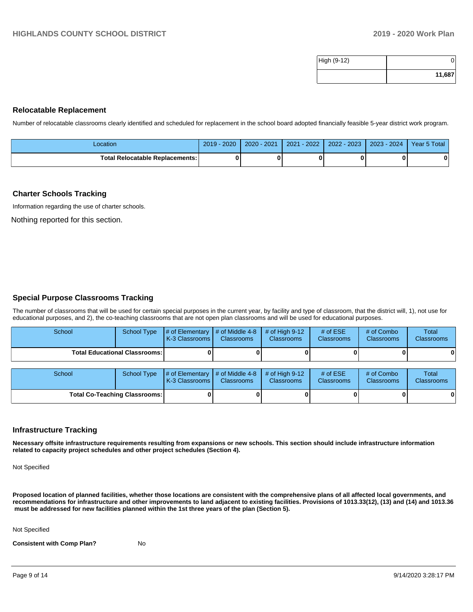| High (9-12) |        |
|-------------|--------|
|             | 11,687 |

#### **Relocatable Replacement**

Number of relocatable classrooms clearly identified and scheduled for replacement in the school board adopted financially feasible 5-year district work program.

| Location                               | 2020<br>$2019 -$ | $2020 - 2021$ | $-2022$<br>2021 | $2022 - 2023$ | 2023 - 2024 | Year 5 Total |
|----------------------------------------|------------------|---------------|-----------------|---------------|-------------|--------------|
| <b>Total Relocatable Replacements:</b> |                  |               |                 |               |             |              |

#### **Charter Schools Tracking**

Information regarding the use of charter schools.

Nothing reported for this section.

### **Special Purpose Classrooms Tracking**

The number of classrooms that will be used for certain special purposes in the current year, by facility and type of classroom, that the district will, 1), not use for educational purposes, and 2), the co-teaching classrooms that are not open plan classrooms and will be used for educational purposes.

| School | School Type                            | $\parallel$ # of Elementary $\parallel$ # of Middle 4-8 $\parallel$ # of High 9-12<br><b>K-3 Classrooms I</b> | <b>Classrooms</b> | <b>Classrooms</b> | # of $ESE$<br><b>Classrooms</b> | # of Combo<br><b>Classrooms</b> | Total<br><b>Classrooms</b> |
|--------|----------------------------------------|---------------------------------------------------------------------------------------------------------------|-------------------|-------------------|---------------------------------|---------------------------------|----------------------------|
|        | <b>Total Educational Classrooms: I</b> |                                                                                                               |                   |                   |                                 |                                 | 01                         |

| School |                                      | School Type $\frac{1}{4}$ of Elementary $\frac{1}{4}$ of Middle 4-8 $\frac{1}{4}$ of High 9-12<br><b>K-3 Classrooms I</b> | <b>Classrooms</b> | <b>Classrooms</b> | # of $ESE$<br><b>Classrooms</b> | # of Combo<br><b>Classrooms</b> | Total<br><b>Classrooms</b> |
|--------|--------------------------------------|---------------------------------------------------------------------------------------------------------------------------|-------------------|-------------------|---------------------------------|---------------------------------|----------------------------|
|        | <b>Total Co-Teaching Classrooms:</b> |                                                                                                                           |                   |                   | OΙ                              | 0                               | 0                          |

### **Infrastructure Tracking**

**Necessary offsite infrastructure requirements resulting from expansions or new schools. This section should include infrastructure information related to capacity project schedules and other project schedules (Section 4).** 

Not Specified

**Proposed location of planned facilities, whether those locations are consistent with the comprehensive plans of all affected local governments, and recommendations for infrastructure and other improvements to land adjacent to existing facilities. Provisions of 1013.33(12), (13) and (14) and 1013.36** must be addressed for new facilities planned within the 1st three years of the plan (Section 5).

Not Specified

**Consistent with Comp Plan?** No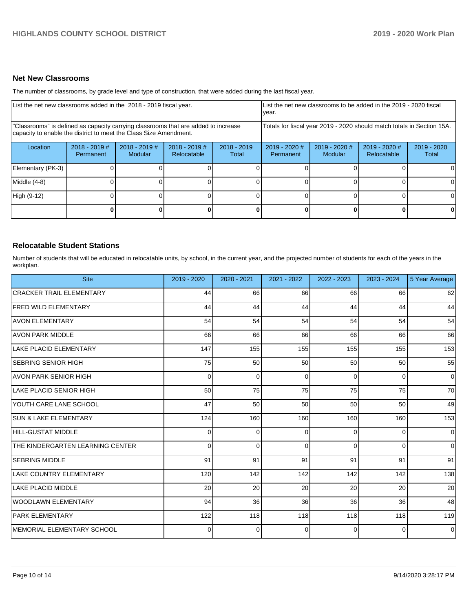### **Net New Classrooms**

The number of classrooms, by grade level and type of construction, that were added during the last fiscal year.

| List the net new classrooms added in the 2018 - 2019 fiscal year. |                                                                                                                                                         |                            |                                |                        | List the net new classrooms to be added in the 2019 - 2020 fiscal<br>year.                                |  |              |    |  |
|-------------------------------------------------------------------|---------------------------------------------------------------------------------------------------------------------------------------------------------|----------------------------|--------------------------------|------------------------|-----------------------------------------------------------------------------------------------------------|--|--------------|----|--|
|                                                                   | "Classrooms" is defined as capacity carrying classrooms that are added to increase<br>capacity to enable the district to meet the Class Size Amendment. |                            |                                |                        | Totals for fiscal year 2019 - 2020 should match totals in Section 15A.                                    |  |              |    |  |
| Location                                                          | $2018 - 2019$ #<br><b>Permanent</b>                                                                                                                     | $2018 - 2019$ #<br>Modular | $2018 - 2019$ #<br>Relocatable | $2018 - 2019$<br>Total | $2019 - 2020$ #<br>2019 - 2020 #<br>$2019 - 2020$ #<br>2019 - 2020<br>Modular<br>Relocatable<br>Permanent |  |              |    |  |
| Elementary (PK-3)                                                 |                                                                                                                                                         |                            |                                |                        |                                                                                                           |  |              |    |  |
| Middle (4-8)                                                      |                                                                                                                                                         |                            |                                |                        |                                                                                                           |  |              | ΩI |  |
| High (9-12)                                                       |                                                                                                                                                         |                            |                                |                        |                                                                                                           |  |              |    |  |
|                                                                   |                                                                                                                                                         |                            |                                | 0                      |                                                                                                           |  | $\mathbf{0}$ | 0  |  |

### **Relocatable Student Stations**

Number of students that will be educated in relocatable units, by school, in the current year, and the projected number of students for each of the years in the workplan.

| <b>Site</b>                        | 2019 - 2020 | 2020 - 2021 | $2021 - 2022$ | 2022 - 2023 | 2023 - 2024     | 5 Year Average |
|------------------------------------|-------------|-------------|---------------|-------------|-----------------|----------------|
| <b>CRACKER TRAIL ELEMENTARY</b>    | 44          | 66          | 66            | 66          | 66              | 62             |
| <b>FRED WILD ELEMENTARY</b>        | 44          | 44          | 44            | 44          | 44              | 44             |
| <b>AVON ELEMENTARY</b>             | 54          | 54          | 54            | 54          | 54              | 54             |
| <b>AVON PARK MIDDLE</b>            | 66          | 66          | 66            | 66          | 66              | 66             |
| LAKE PLACID ELEMENTARY             | 147         | 155         | 155           | 155         | 155             | 153            |
| <b>SEBRING SENIOR HIGH</b>         | 75          | 50          | 50            | 50          | 50              | 55             |
| AVON PARK SENIOR HIGH              | 0           | 0           | $\Omega$      | $\Omega$    | $\Omega$        | $\overline{0}$ |
| LAKE PLACID SENIOR HIGH            | 50          | 75          | 75            | 75          | 75              | 70             |
| YOUTH CARE LANE SCHOOL             | 47          | 50          | 50            | 50          | 50 <sub>1</sub> | 49             |
| <b>SUN &amp; LAKE ELEMENTARY</b>   | 124         | 160         | 160           | 160         | 160             | 153            |
| HILL-GUSTAT MIDDLE                 | 0           | 0           | $\Omega$      | $\Omega$    | $\overline{0}$  | $\overline{0}$ |
| THE KINDERGARTEN LEARNING CENTER   | $\Omega$    | 0           | $\Omega$      | $\Omega$    | $\overline{0}$  | $\overline{0}$ |
| <b>SEBRING MIDDLE</b>              | 91          | 91          | 91            | 91          | 91              | 91             |
| LAKE COUNTRY ELEMENTARY            | 120         | 142         | 142           | 142         | 142             | 138            |
| LAKE PLACID MIDDLE                 | 20          | 20          | 20            | 20          | 20              | 20             |
| WOODLAWN ELEMENTARY                | 94          | 36          | 36            | 36          | 36              | 48             |
| <b>PARK ELEMENTARY</b>             | 122         | 118         | 118           | 118         | 118             | 119            |
| <b>IMEMORIAL ELEMENTARY SCHOOL</b> | 0           | $\Omega$    | $\Omega$      | $\Omega$    | $\overline{0}$  | $\overline{0}$ |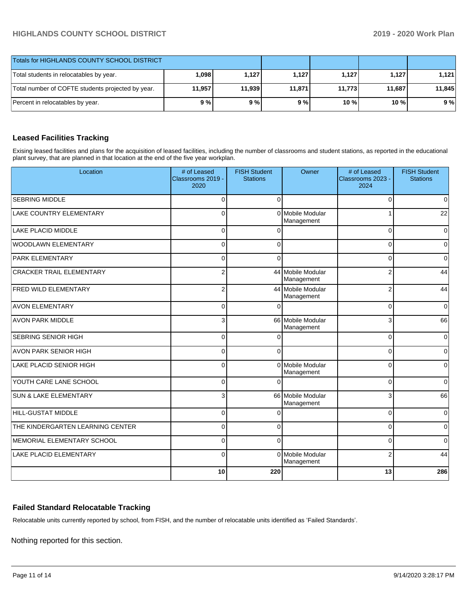| <b>Totals for HIGHLANDS COUNTY SCHOOL DISTRICT</b> |        |        |        |         |        |        |
|----------------------------------------------------|--------|--------|--------|---------|--------|--------|
| Total students in relocatables by year.            | 098. ا | 1.127  | 1.127  | 1.127   | 1.127  | 1.121  |
| Total number of COFTE students projected by year.  | 11.957 | 11.939 | 11,871 | 11.7731 | 11,687 | 11.845 |
| Percent in relocatables by year.                   | 9%     | 9%     | 9%     | 10 %    | 10 %   | 9%     |

## **Leased Facilities Tracking**

Exising leased facilities and plans for the acquisition of leased facilities, including the number of classrooms and student stations, as reported in the educational plant survey, that are planned in that location at the end of the five year workplan.

| Location                         | # of Leased<br>Classrooms 2019 -<br>2020 | <b>FISH Student</b><br><b>Stations</b> | Owner                               | # of Leased<br>Classrooms 2023 -<br>2024 | <b>FISH Student</b><br><b>Stations</b> |
|----------------------------------|------------------------------------------|----------------------------------------|-------------------------------------|------------------------------------------|----------------------------------------|
| <b>SEBRING MIDDLE</b>            | $\mathbf 0$                              | $\Omega$                               |                                     | $\Omega$                                 | 0                                      |
| <b>LAKE COUNTRY ELEMENTARY</b>   | $\Omega$                                 | $\Omega$                               | <b>Mobile Modular</b><br>Management |                                          | 22                                     |
| <b>LAKE PLACID MIDDLE</b>        | $\Omega$                                 |                                        |                                     | $\Omega$                                 | 0                                      |
| WOODLAWN ELEMENTARY              | $\mathbf 0$                              | $\Omega$                               |                                     | $\Omega$                                 | $\overline{0}$                         |
| <b>PARK ELEMENTARY</b>           | $\mathbf 0$                              | $\Omega$                               |                                     | $\Omega$                                 | 0                                      |
| <b>CRACKER TRAIL ELEMENTARY</b>  | 2                                        |                                        | 44 Mobile Modular<br>Management     | 2                                        | 44                                     |
| <b>FRED WILD ELEMENTARY</b>      | $\overline{2}$                           |                                        | 44 Mobile Modular<br>Management     | $\overline{2}$                           | 44                                     |
| <b>AVON ELEMENTARY</b>           | $\mathbf 0$                              |                                        |                                     | $\Omega$                                 | $\mathbf 0$                            |
| <b>AVON PARK MIDDLE</b>          | 3                                        |                                        | 66 Mobile Modular<br>Management     | 3                                        | 66                                     |
| SEBRING SENIOR HIGH              | $\mathbf 0$                              | $\sqrt{ }$                             |                                     | $\Omega$                                 | 0                                      |
| <b>AVON PARK SENIOR HIGH</b>     | $\Omega$                                 | $\Omega$                               |                                     | $\Omega$                                 | 0                                      |
| LAKE PLACID SENIOR HIGH          | $\Omega$                                 | $\Omega$                               | Mobile Modular<br>Management        | $\Omega$                                 | 0                                      |
| YOUTH CARE LANE SCHOOL           | $\Omega$                                 |                                        |                                     | $\Omega$                                 | 0                                      |
| <b>SUN &amp; LAKE ELEMENTARY</b> | 3                                        |                                        | 66 Mobile Modular<br>Management     | 3                                        | 66                                     |
| <b>HILL-GUSTAT MIDDLE</b>        | $\Omega$                                 | $\sqrt{ }$                             |                                     | $\Omega$                                 | $\mathbf 0$                            |
| THE KINDERGARTEN LEARNING CENTER | $\Omega$                                 | $\Omega$                               |                                     | $\Omega$                                 | 0                                      |
| MEMORIAL ELEMENTARY SCHOOL       | $\Omega$                                 | $\Omega$                               |                                     | $\Omega$                                 | 0                                      |
| <b>LAKE PLACID ELEMENTARY</b>    | $\Omega$                                 |                                        | 0 Mobile Modular<br>Management      | $\overline{2}$                           | 44                                     |
|                                  | 10                                       | 220                                    |                                     | 13                                       | 286                                    |

## **Failed Standard Relocatable Tracking**

Relocatable units currently reported by school, from FISH, and the number of relocatable units identified as 'Failed Standards'.

Nothing reported for this section.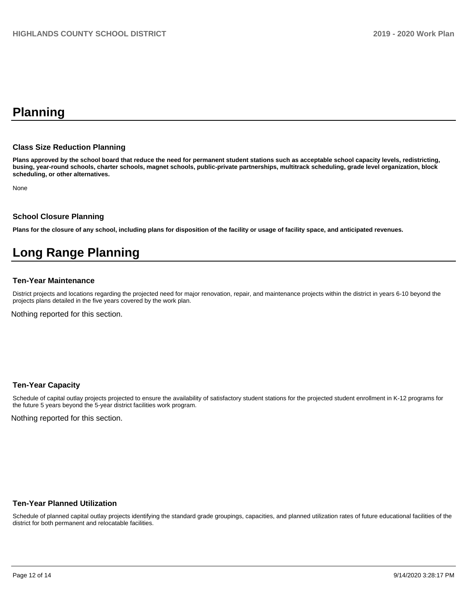# **Planning**

#### **Class Size Reduction Planning**

**Plans approved by the school board that reduce the need for permanent student stations such as acceptable school capacity levels, redistricting, busing, year-round schools, charter schools, magnet schools, public-private partnerships, multitrack scheduling, grade level organization, block scheduling, or other alternatives.**

None

### **School Closure Planning**

**Plans for the closure of any school, including plans for disposition of the facility or usage of facility space, and anticipated revenues.** 

# **Long Range Planning**

#### **Ten-Year Maintenance**

District projects and locations regarding the projected need for major renovation, repair, and maintenance projects within the district in years 6-10 beyond the projects plans detailed in the five years covered by the work plan.

Nothing reported for this section.

### **Ten-Year Capacity**

Schedule of capital outlay projects projected to ensure the availability of satisfactory student stations for the projected student enrollment in K-12 programs for the future 5 years beyond the 5-year district facilities work program.

Nothing reported for this section.

#### **Ten-Year Planned Utilization**

Schedule of planned capital outlay projects identifying the standard grade groupings, capacities, and planned utilization rates of future educational facilities of the district for both permanent and relocatable facilities.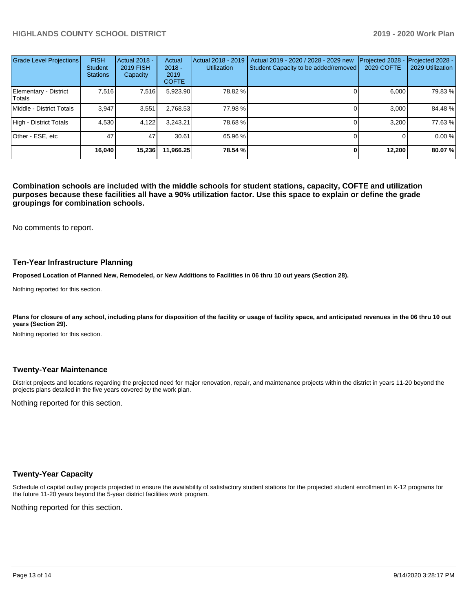| Grade Level Projections         | <b>FISH</b><br><b>Student</b><br><b>Stations</b> | Actual 2018 -<br><b>2019 FISH</b><br>Capacity | Actual<br>$2018 -$<br>2019<br><b>COFTE</b> | Actual 2018 - 2019<br><b>Utilization</b> | Actual 2019 - 2020 / 2028 - 2029 new<br>Student Capacity to be added/removed | Projected 2028<br>2029 COFTE | Projected 2028 -<br>2029 Utilization |
|---------------------------------|--------------------------------------------------|-----------------------------------------------|--------------------------------------------|------------------------------------------|------------------------------------------------------------------------------|------------------------------|--------------------------------------|
| Elementary - District<br>Totals | 7.516                                            | 7,516                                         | 5,923.90                                   | 78.82 %                                  |                                                                              | 6.000                        | 79.83 %                              |
| Middle - District Totals        | 3.947                                            | 3,551                                         | 2,768.53                                   | 77.98 %                                  |                                                                              | 3.000                        | 84.48 %                              |
| High - District Totals          | 4.530                                            | 4,122                                         | 3.243.21                                   | 78.68 %                                  |                                                                              | 3.200                        | 77.63%                               |
| Other - ESE, etc                | 47                                               | 47                                            | 30.61                                      | 65.96 %                                  |                                                                              |                              | 0.00 %                               |
|                                 | 16.040                                           | 15,236                                        | 11.966.25                                  | 78.54 %                                  |                                                                              | 12.200                       | 80.07%                               |

**Combination schools are included with the middle schools for student stations, capacity, COFTE and utilization purposes because these facilities all have a 90% utilization factor. Use this space to explain or define the grade groupings for combination schools.** 

No comments to report.

#### **Ten-Year Infrastructure Planning**

**Proposed Location of Planned New, Remodeled, or New Additions to Facilities in 06 thru 10 out years (Section 28).**

Nothing reported for this section.

Plans for closure of any school, including plans for disposition of the facility or usage of facility space, and anticipated revenues in the 06 thru 10 out **years (Section 29).**

Nothing reported for this section.

#### **Twenty-Year Maintenance**

District projects and locations regarding the projected need for major renovation, repair, and maintenance projects within the district in years 11-20 beyond the projects plans detailed in the five years covered by the work plan.

Nothing reported for this section.

### **Twenty-Year Capacity**

Schedule of capital outlay projects projected to ensure the availability of satisfactory student stations for the projected student enrollment in K-12 programs for the future 11-20 years beyond the 5-year district facilities work program.

Nothing reported for this section.